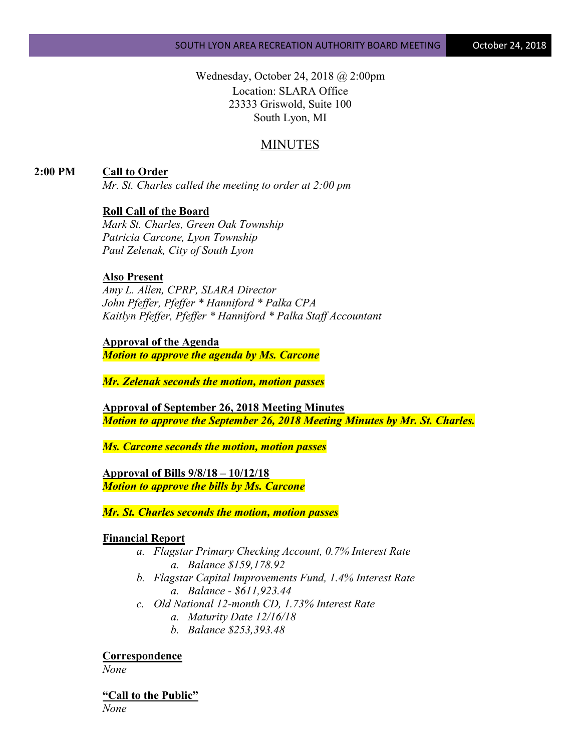Wednesday, October 24, 2018 @ 2:00pm Location: SLARA Office 23333 Griswold, Suite 100 South Lyon, MI

# MINUTES

**2:00 PM Call to Order**

*Mr. St. Charles called the meeting to order at 2:00 pm*

## **Roll Call of the Board**

*Mark St. Charles, Green Oak Township Patricia Carcone, Lyon Township Paul Zelenak, City of South Lyon*

#### **Also Present**

*Amy L. Allen, CPRP, SLARA Director John Pfeffer, Pfeffer \* Hanniford \* Palka CPA Kaitlyn Pfeffer, Pfeffer \* Hanniford \* Palka Staff Accountant*

**Approval of the Agenda**

*Motion to approve the agenda by Ms. Carcone*

*Mr. Zelenak seconds the motion, motion passes*

**Approval of September 26, 2018 Meeting Minutes** *Motion to approve the September 26, 2018 Meeting Minutes by Mr. St. Charles.*

*Ms. Carcone seconds the motion, motion passes*

**Approval of Bills 9/8/18 – 10/12/18** *Motion to approve the bills by Ms. Carcone*

*Mr. St. Charles seconds the motion, motion passes*

#### **Financial Report**

- *a. Flagstar Primary Checking Account, 0.7% Interest Rate a. Balance \$159,178.92*
- *b. Flagstar Capital Improvements Fund, 1.4% Interest Rate a. Balance - \$611,923.44*
- *c. Old National 12-month CD, 1.73% Interest Rate*
	- *a. Maturity Date 12/16/18*
	- *b. Balance \$253,393.48*

**Correspondence**

*None*

**"Call to the Public"**

*None*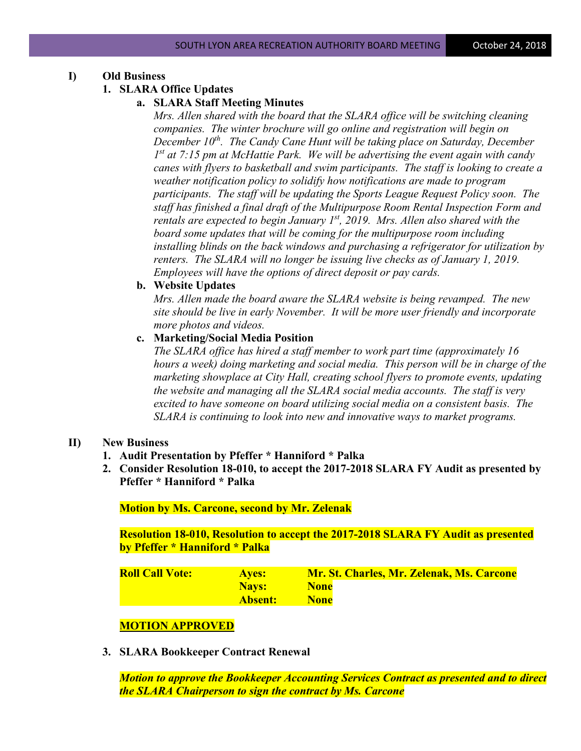## **I) Old Business**

## **1. SLARA Office Updates**

# **a. SLARA Staff Meeting Minutes**

*Mrs. Allen shared with the board that the SLARA office will be switching cleaning companies. The winter brochure will go online and registration will begin on December 10<sup>th</sup>. The Candy Cane Hunt will be taking place on Saturday, December 1st at 7:15 pm at McHattie Park. We will be advertising the event again with candy canes with flyers to basketball and swim participants. The staff is looking to create a weather notification policy to solidify how notifications are made to program participants. The staff will be updating the Sports League Request Policy soon. The staff has finished a final draft of the Multipurpose Room Rental Inspection Form and rentals are expected to begin January 1st, 2019. Mrs. Allen also shared with the board some updates that will be coming for the multipurpose room including installing blinds on the back windows and purchasing a refrigerator for utilization by renters. The SLARA will no longer be issuing live checks as of January 1, 2019. Employees will have the options of direct deposit or pay cards.*

## **b. Website Updates**

*Mrs. Allen made the board aware the SLARA website is being revamped. The new site should be live in early November. It will be more user friendly and incorporate more photos and videos.*

## **c. Marketing/Social Media Position**

*The SLARA office has hired a staff member to work part time (approximately 16 hours a week) doing marketing and social media. This person will be in charge of the marketing showplace at City Hall, creating school flyers to promote events, updating the website and managing all the SLARA social media accounts. The staff is very excited to have someone on board utilizing social media on a consistent basis. The SLARA is continuing to look into new and innovative ways to market programs.*

## **II) New Business**

- **1. Audit Presentation by Pfeffer \* Hanniford \* Palka**
- **2. Consider Resolution 18-010, to accept the 2017-2018 SLARA FY Audit as presented by Pfeffer \* Hanniford \* Palka**

**Motion by Ms. Carcone, second by Mr. Zelenak**

**Resolution 18-010, Resolution to accept the 2017-2018 SLARA FY Audit as presented by Pfeffer \* Hanniford \* Palka**

| <b>Roll Call Vote:</b> | <b>Aves:</b> | Mr. St. Charles, Mr. Zelenak, Ms. Carcone |
|------------------------|--------------|-------------------------------------------|
|                        | <b>Navs:</b> | <b>None</b>                               |
|                        | Absent:      | <b>None</b>                               |

# **MOTION APPROVED**

**3. SLARA Bookkeeper Contract Renewal**

*Motion to approve the Bookkeeper Accounting Services Contract as presented and to direct the SLARA Chairperson to sign the contract by Ms. Carcone*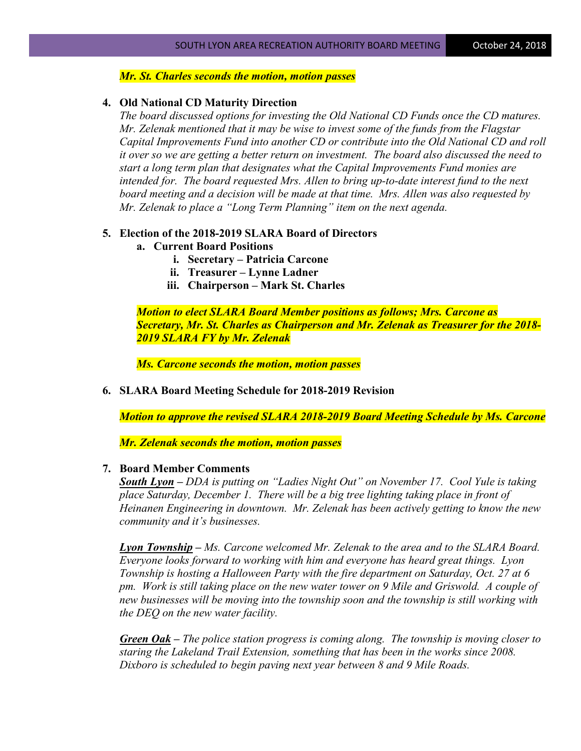#### *Mr. St. Charles seconds the motion, motion passes*

#### **4. Old National CD Maturity Direction**

*The board discussed options for investing the Old National CD Funds once the CD matures. Mr. Zelenak mentioned that it may be wise to invest some of the funds from the Flagstar Capital Improvements Fund into another CD or contribute into the Old National CD and roll it over so we are getting a better return on investment. The board also discussed the need to start a long term plan that designates what the Capital Improvements Fund monies are intended for. The board requested Mrs. Allen to bring up-to-date interest fund to the next board meeting and a decision will be made at that time. Mrs. Allen was also requested by Mr. Zelenak to place a "Long Term Planning" item on the next agenda.*

#### **5. Election of the 2018-2019 SLARA Board of Directors**

#### **a. Current Board Positions**

- **i. Secretary – Patricia Carcone**
- **ii. Treasurer – Lynne Ladner**
- **iii. Chairperson – Mark St. Charles**

*Motion to elect SLARA Board Member positions as follows; Mrs. Carcone as Secretary, Mr. St. Charles as Chairperson and Mr. Zelenak as Treasurer for the 2018- 2019 SLARA FY by Mr. Zelenak*

*Ms. Carcone seconds the motion, motion passes*

**6. SLARA Board Meeting Schedule for 2018-2019 Revision**

*Motion to approve the revised SLARA 2018-2019 Board Meeting Schedule by Ms. Carcone*

*Mr. Zelenak seconds the motion, motion passes*

# **7. Board Member Comments**

*South Lyon – DDA is putting on "Ladies Night Out" on November 17. Cool Yule is taking place Saturday, December 1. There will be a big tree lighting taking place in front of Heinanen Engineering in downtown. Mr. Zelenak has been actively getting to know the new community and it's businesses.*

*Lyon Township – Ms. Carcone welcomed Mr. Zelenak to the area and to the SLARA Board. Everyone looks forward to working with him and everyone has heard great things. Lyon Township is hosting a Halloween Party with the fire department on Saturday, Oct. 27 at 6 pm. Work is still taking place on the new water tower on 9 Mile and Griswold. A couple of new businesses will be moving into the township soon and the township is still working with the DEQ on the new water facility.*

*Green Oak – The police station progress is coming along. The township is moving closer to staring the Lakeland Trail Extension, something that has been in the works since 2008. Dixboro is scheduled to begin paving next year between 8 and 9 Mile Roads.*